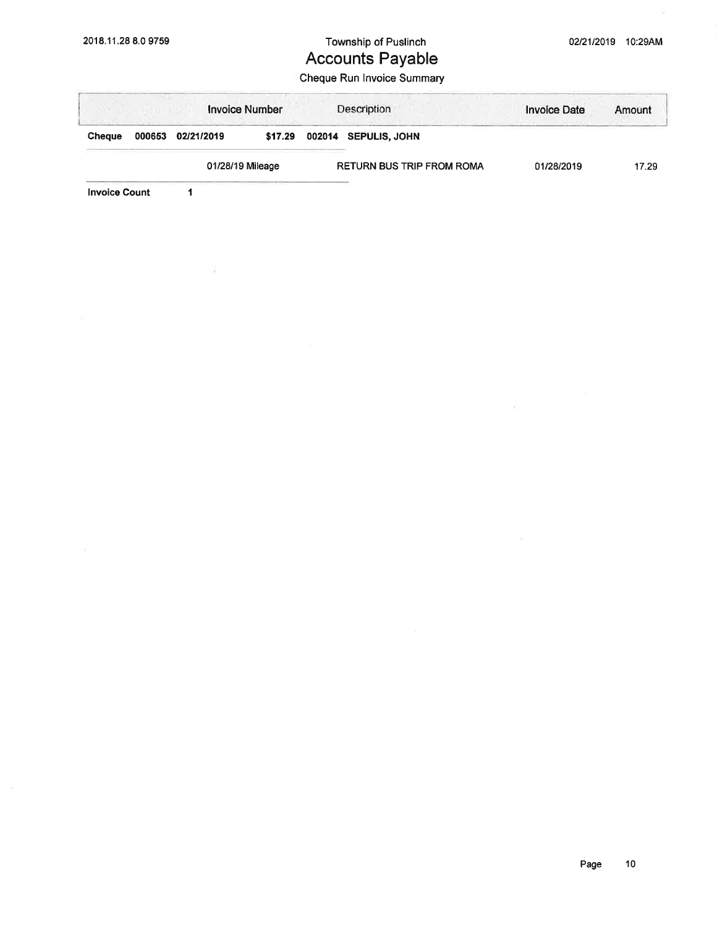## 2018.11.28 8.0 9759 Township of Puslinch Accounts Payable

## Cheque Run lnvoice Summary

|               |        | <b>Invoice Number</b> |         |                                  | Description          | <b>Invoice Date</b> | Amount |
|---------------|--------|-----------------------|---------|----------------------------------|----------------------|---------------------|--------|
| <b>Cheque</b> | 000653 | 02/21/2019            | \$17.29 |                                  | 002014 SEPULIS, JOHN |                     |        |
|               |        | 01/28/19 Mileage      |         | <b>RETURN BUS TRIP FROM ROMA</b> |                      | 01/28/2019          | 17.29  |

Invoice Count 1

 $\mathcal{C}^{\prime}_{\mathcal{C}}$